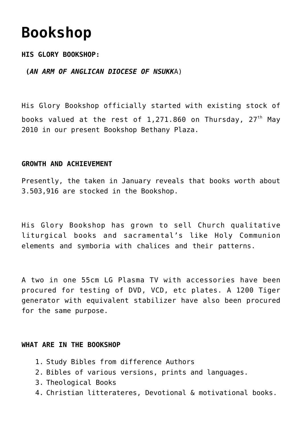# **[Bookshop](https://adonsk.com/bookshop/)**

## **HIS GLORY BOOKSHOP:**

## **(***AN ARM OF ANGLICAN DIOCESE OF NSUKK*A)

His Glory Bookshop officially started with existing stock of books valued at the rest of 1,271.860 on Thursday,  $27<sup>th</sup>$  May 2010 in our present Bookshop Bethany Plaza.

#### **GROWTH AND ACHIEVEMENT**

Presently, the taken in January reveals that books worth about 3.503,916 are stocked in the Bookshop.

His Glory Bookshop has grown to sell Church qualitative liturgical books and sacramental's like Holy Communion elements and symboria with chalices and their patterns.

A two in one 55cm LG Plasma TV with accessories have been procured for testing of DVD, VCD, etc plates. A 1200 Tiger generator with equivalent stabilizer have also been procured for the same purpose.

#### **WHAT ARE IN THE BOOKSHOP**

- 1. Study Bibles from difference Authors
- 2. Bibles of various versions, prints and languages.
- 3. Theological Books
- 4. Christian litterateres, Devotional & motivational books.